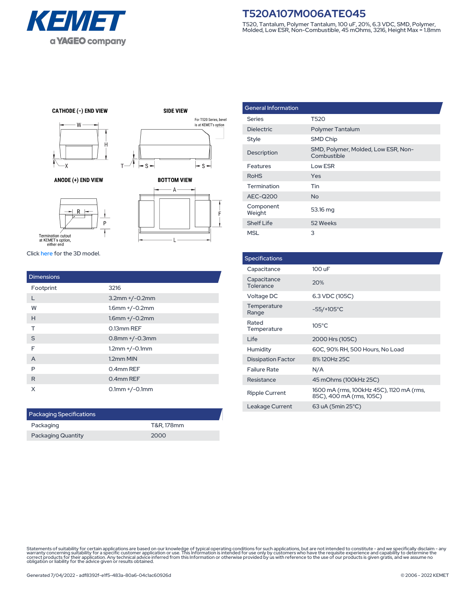

## **T520A107M006ATE045**

T520, Tantalum, Polymer Tantalum, 100 uF, 20%, 6.3 VDC, SMD, Polymer, Molded, Low ESR, Non-Combustible, 45 mOhms, 3216, Height Max = 1.8mm

**CATHODE (-) END VIEW** 



ANODE (+) END VIEW

 $\overline{R}$ 

**SIDE VIEW** For T520 Series, bevel is at KEMET's option  $-$ s $-$  s  $\overline{\phantom{a}}$ **BOTTOM VIEW** - A



 $\mathsf{T}$ 

General Information Series T520 Dielectric Polymer Tantalum Style SMD Chip Description SMD, Polymer, Molded, Low ESR, Non-**Combustible** Features Low ESR RoHS Yes Termination Tin AEC-Q200 No Component Weight 53.16 mg Shelf Life 52 Weeks MSL 3

|  |  | Click here for the 3D model. |  |
|--|--|------------------------------|--|
|  |  |                              |  |

Termination cutout<br>at KEMET's option, either end

| <b>Dimensions</b> |                      |
|-------------------|----------------------|
| Footprint         | 3216                 |
| L                 | $3.2$ mm $+/-0.2$ mm |
| W                 | $1.6$ mm $+/-0.2$ mm |
| H                 | $1.6$ mm $+/-0.2$ mm |
| т                 | 0.13mm REF           |
| S                 | $0.8$ mm $+/-0.3$ mm |
| F                 | $1.2$ mm $+/-0.1$ mm |
| A                 | 1.2mm MIN            |
| P                 | 0.4mm REF            |
| R                 | 0.4mm REF            |
| X                 | $0.1$ mm $+/-0.1$ mm |

| <b>Packaging Specifications</b> |            |  |  |  |
|---------------------------------|------------|--|--|--|
| Packaging                       | T&R. 178mm |  |  |  |
| <b>Packaging Quantity</b>       | 2000       |  |  |  |

| <b>Specifications</b>     |                                                                      |
|---------------------------|----------------------------------------------------------------------|
| Capacitance               | 100 uF                                                               |
| Capacitance<br>Tolerance  | 20%                                                                  |
| Voltage DC                | 6.3 VDC (105C)                                                       |
| Temperature<br>Range      | $-55/+105^{\circ}C$                                                  |
| Rated<br>Temperature      | $105^{\circ}$ C                                                      |
| Life                      | 2000 Hrs (105C)                                                      |
| <b>Humidity</b>           | 60C, 90% RH, 500 Hours, No Load                                      |
| <b>Dissipation Factor</b> | 8%120Hz 25C                                                          |
| <b>Failure Rate</b>       | N/A                                                                  |
| Resistance                | 45 mOhms (100kHz 25C)                                                |
| <b>Ripple Current</b>     | 1600 mA (rms, 100kHz 45C), 1120 mA (rms,<br>85C), 400 mA (rms, 105C) |
| Leakage Current           | $63$ uA (5min 25 $^{\circ}$ C)                                       |

Statements of suitability for certain applications are based on our knowledge of typical operating conditions for such applications, but are not intended to constitute - and we specifically disclaim - any<br>warranty concerni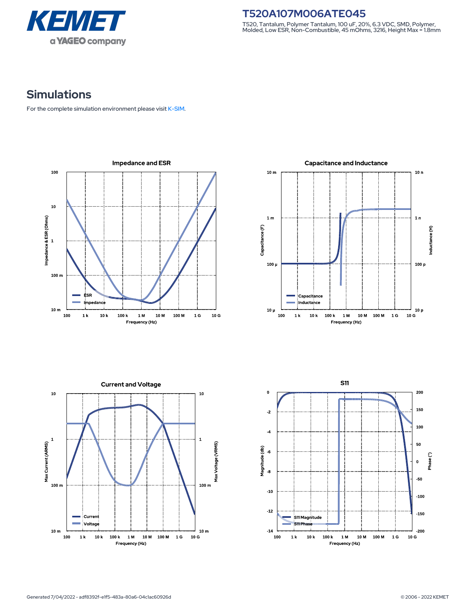

**T520A107M006ATE045** T520, Tantalum, Polymer Tantalum, 100 uF, 20%, 6.3 VDC, SMD, Polymer, Molded, Low ESR, Non-Combustible, 45 mOhms, 3216, Height Max = 1.8mm

## **Simulations**

For the complete simulation environment please visit [K-SIM](https://ksim.kemet.com/?pn=T520A107M006ATE045).

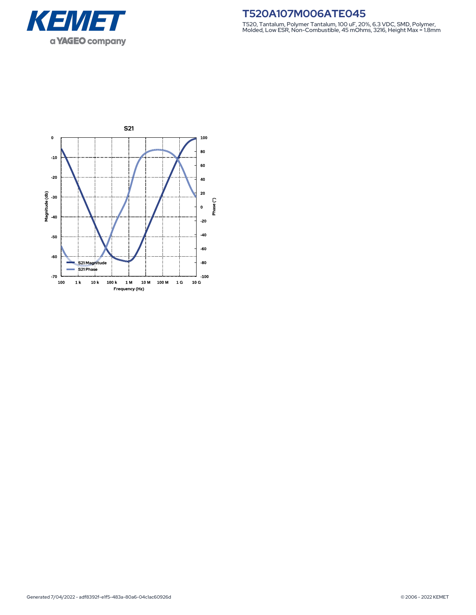